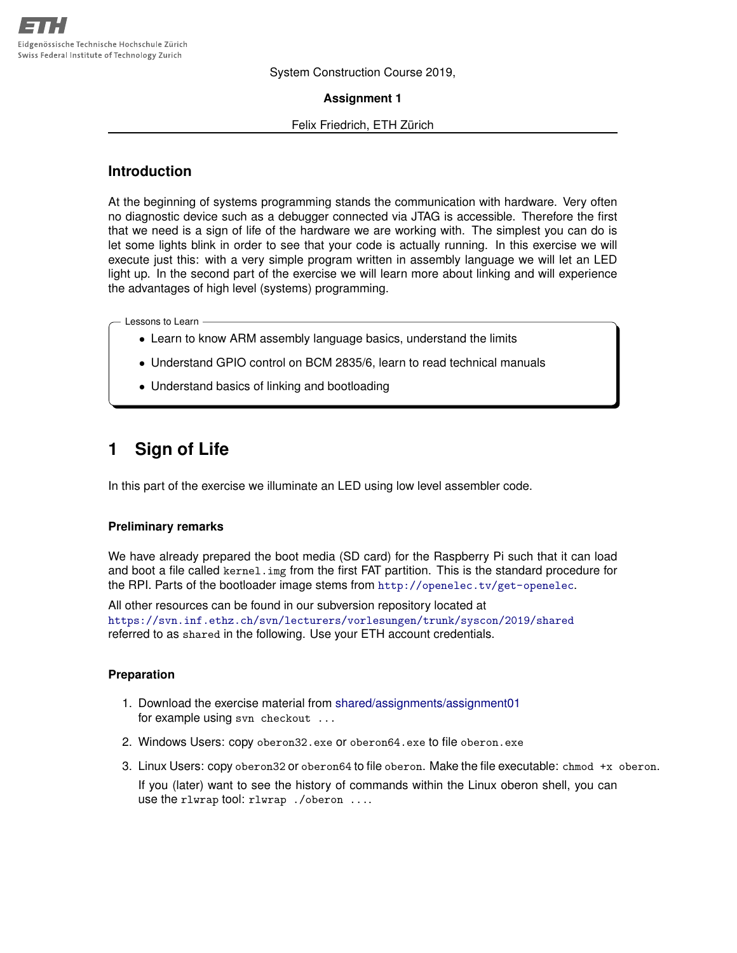System Construction Course 2019,

**Assignment 1**

#### Felix Friedrich, ETH Zürich

## **Introduction**

At the beginning of systems programming stands the communication with hardware. Very often no diagnostic device such as a debugger connected via JTAG is accessible. Therefore the first that we need is a sign of life of the hardware we are working with. The simplest you can do is let some lights blink in order to see that your code is actually running. In this exercise we will execute just this: with a very simple program written in assembly language we will let an LED light up. In the second part of the exercise we will learn more about linking and will experience the advantages of high level (systems) programming.

Lessons to Learn

- Learn to know ARM assembly language basics, understand the limits
- Understand GPIO control on BCM 2835/6, learn to read technical manuals
- Understand basics of linking and bootloading

# **1 Sign of Life**

In this part of the exercise we illuminate an LED using low level assembler code.

#### **Preliminary remarks**

We have already prepared the boot media (SD card) for the Raspberry Pi such that it can load and boot a file called kernel. img from the first FAT partition. This is the standard procedure for the RPI. Parts of the bootloader image stems from  $http://openelec.tv/get-openelec$ .

All other resources can be found in our subversion repository located at <https://svn.inf.ethz.ch/svn/lecturers/vorlesungen/trunk/syscon/2019/shared> referred to as shared in the following. Use your ETH account credentials.

#### **Preparation**

- 1. Download the exercise material from [shared/assignments/assignment01](https://svn.inf.ethz.ch/svn/lecturers/vorlesungen/trunk/syscon/2019/shared/assignments/assignment01) for example using svn checkout ...
- 2. Windows Users: copy oberon32.exe or oberon64.exe to file oberon.exe
- 3. Linux Users: copy oberon32 or oberon64 to file oberon. Make the file executable: chmod +x oberon. If you (later) want to see the history of commands within the Linux oberon shell, you can use the rlwrap tool: rlwrap ./oberon ....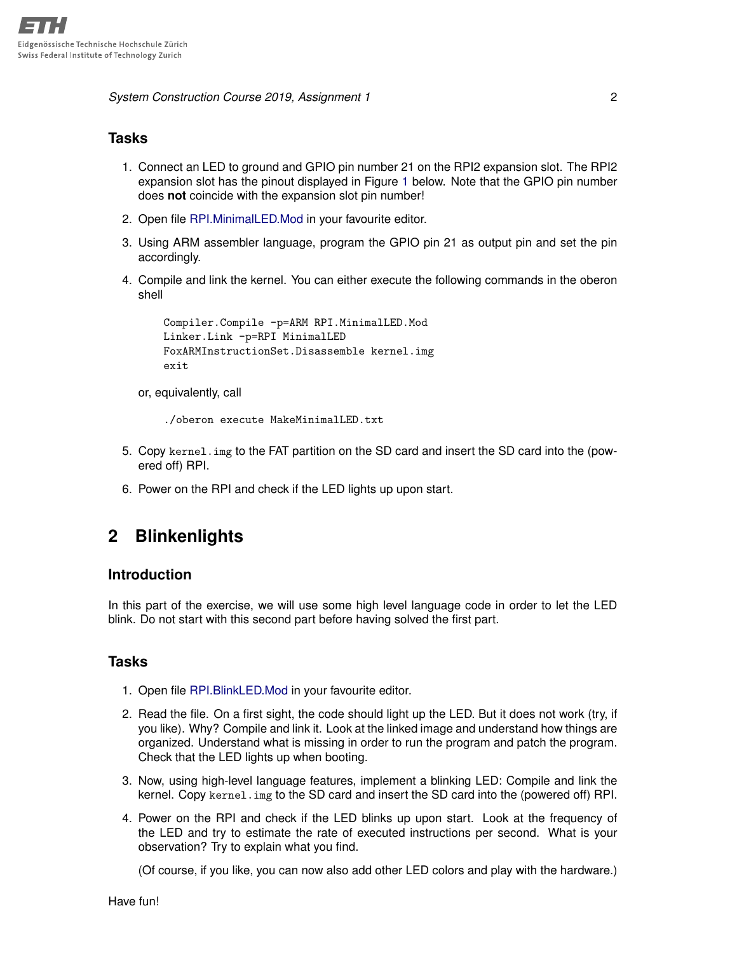*System Construction Course 2019, Assignment 1* 2

## **Tasks**

- 1. Connect an LED to ground and GPIO pin number 21 on the RPI2 expansion slot. The RPI2 expansion slot has the pinout displayed in Figure [1](#page-2-0) below. Note that the GPIO pin number does **not** coincide with the expansion slot pin number!
- 2. Open file [RPI.MinimalLED.Mod](https://svn.inf.ethz.ch/svn/lecturers/vorlesungen/trunk/syscon/2019/shared/assignments/assignment01/RPI.MinimalLED.Mod) in your favourite editor.
- 3. Using ARM assembler language, program the GPIO pin 21 as output pin and set the pin accordingly.
- 4. Compile and link the kernel. You can either execute the following commands in the oberon shell

```
Compiler.Compile -p=ARM RPI.MinimalLED.Mod
Linker.Link -p=RPI MinimalLED
FoxARMInstructionSet.Disassemble kernel.img
exit
```
or, equivalently, call

./oberon execute MakeMinimalLED.txt

- 5. Copy kernel.img to the FAT partition on the SD card and insert the SD card into the (powered off) RPI.
- 6. Power on the RPI and check if the LED lights up upon start.

# **2 Blinkenlights**

### **Introduction**

In this part of the exercise, we will use some high level language code in order to let the LED blink. Do not start with this second part before having solved the first part.

### **Tasks**

- 1. Open file [RPI.BlinkLED.Mod](https://svn.inf.ethz.ch/svn/lecturers/vorlesungen/trunk/syscon/2019/shared/assignments/assignment01/RPI.BlinkLED.Mod) in your favourite editor.
- 2. Read the file. On a first sight, the code should light up the LED. But it does not work (try, if you like). Why? Compile and link it. Look at the linked image and understand how things are organized. Understand what is missing in order to run the program and patch the program. Check that the LED lights up when booting.
- 3. Now, using high-level language features, implement a blinking LED: Compile and link the kernel. Copy kernel.img to the SD card and insert the SD card into the (powered off) RPI.
- 4. Power on the RPI and check if the LED blinks up upon start. Look at the frequency of the LED and try to estimate the rate of executed instructions per second. What is your observation? Try to explain what you find.

(Of course, if you like, you can now also add other LED colors and play with the hardware.)